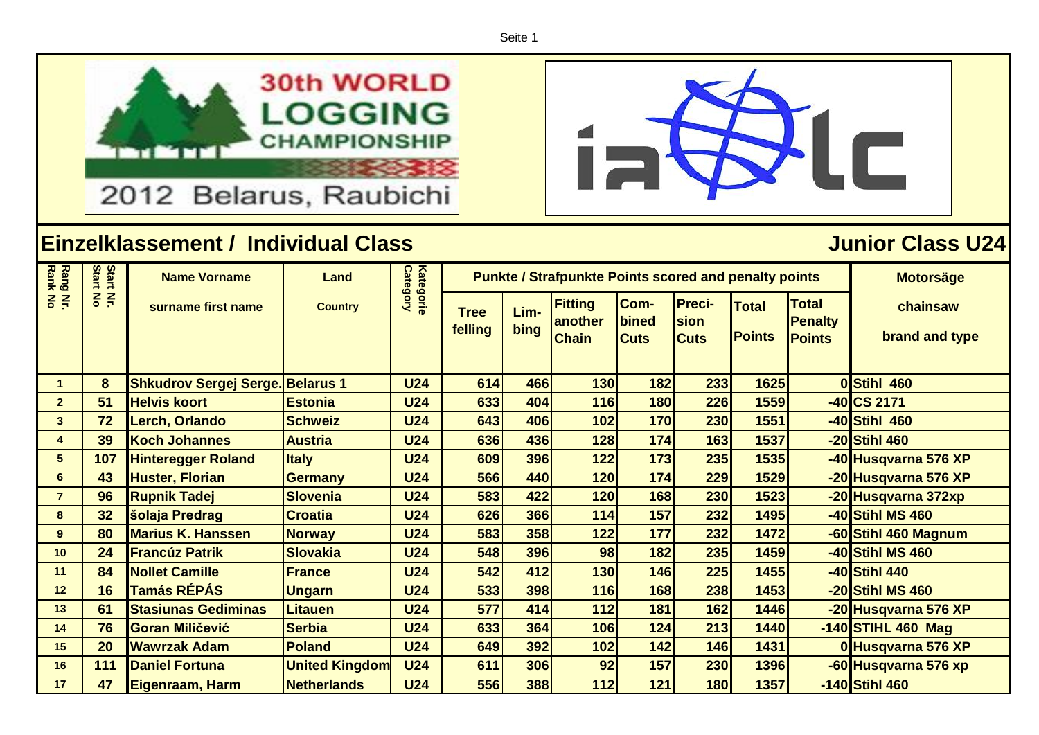Seite 1







| <b>Rang Nr.</b><br>Rank No | Start<br>Start | <b>Name Vorname</b>                     | Land                  | <b>Category</b> |                        | <b>Punkte / Strafpunkte Points scored and penalty points</b> | <b>Motorsäge</b>                          |                              |                                      |                               |                                                 |                            |
|----------------------------|----------------|-----------------------------------------|-----------------------|-----------------|------------------------|--------------------------------------------------------------|-------------------------------------------|------------------------------|--------------------------------------|-------------------------------|-------------------------------------------------|----------------------------|
|                            | $rac{2}{5}$    | surname first name                      | <b>Country</b>        | Kategorie       | <b>Tree</b><br>felling | Lim-<br>bing                                                 | <b>Fitting</b><br>another<br><b>Chain</b> | Com-<br>bined<br><b>Cuts</b> | <b>Preci-</b><br>sion<br><b>Cuts</b> | <b>Total</b><br><b>Points</b> | <b>Total</b><br><b>Penalty</b><br><b>Points</b> | chainsaw<br>brand and type |
| $\mathbf{1}$               | 8              | <b>Shkudrov Sergej Serge. Belarus 1</b> |                       | <b>U24</b>      | 614                    | 466                                                          | 130                                       | 182                          | 233                                  | 1625                          |                                                 | 0Stihl 460                 |
| $\overline{2}$             | 51             | <b>Helvis koort</b>                     | <b>Estonia</b>        | <b>U24</b>      | 633                    | 404                                                          | 116                                       | 180                          | 226                                  | 1559                          |                                                 | $-40$ CS 2171              |
| $\mathbf{3}$               | 72             | Lerch, Orlando                          | <b>Schweiz</b>        | <b>U24</b>      | 643                    | 406                                                          | 102                                       | 170                          | 230                                  | 1551                          |                                                 | -40 <b>Stihl 460</b>       |
| 4                          | 39             | <b>Koch Johannes</b>                    | <b>Austria</b>        | <b>U24</b>      | 636                    | 436                                                          | 128                                       | 174                          | 163                                  | 1537                          |                                                 | -20 Stihl 460              |
| $5\phantom{.0}$            | 107            | <b>Hinteregger Roland</b>               | <b>Italy</b>          | <b>U24</b>      | 609                    | 396                                                          | 122                                       | 173                          | 235                                  | 1535                          |                                                 | -40 Husqvarna 576 XP       |
| 6                          | 43             | <b>Huster, Florian</b>                  | <b>Germany</b>        | <b>U24</b>      | 566                    | 440                                                          | 120                                       | 174                          | 229                                  | 1529                          |                                                 | -20 Husqvarna 576 XP       |
| $\overline{7}$             | 96             | <b>Rupnik Tadej</b>                     | <b>Slovenia</b>       | <b>U24</b>      | 583                    | 422                                                          | 120                                       | 168                          | 230                                  | 1523                          |                                                 | -20 Husqvarna 372xp        |
| 8                          | 32             | <b>šolaja Predrag</b>                   | <b>Croatia</b>        | <b>U24</b>      | 626                    | 366                                                          | 114                                       | 157                          | 232                                  | 1495                          |                                                 | -40 Stihl MS 460           |
| 9                          | 80             | <b>Marius K. Hanssen</b>                | <b>Norway</b>         | <b>U24</b>      | 583                    | 358                                                          | 122                                       | 177                          | 232                                  | 1472                          |                                                 | -60 Stihl 460 Magnum       |
| 10                         | 24             | <b>Francúz Patrik</b>                   | <b>Slovakia</b>       | <b>U24</b>      | 548                    | 396                                                          | 98                                        | 182                          | 235                                  | 1459                          |                                                 | -40 Stihl MS 460           |
| 11                         | 84             | <b>Nollet Camille</b>                   | <b>France</b>         | <b>U24</b>      | 542                    | 412                                                          | 130                                       | 146                          | 225                                  | 1455                          |                                                 | -40 Stihl 440              |
| 12                         | 16             | <b>Tamás RÉPÁS</b>                      | <b>Ungarn</b>         | <b>U24</b>      | 533                    | 398                                                          | 116                                       | 168                          | 238                                  | 1453                          |                                                 | -20 Stihl MS 460           |
| 13                         | 61             | <b>Stasiunas Gediminas</b>              | Litauen               | <b>U24</b>      | 577                    | 414                                                          | 112                                       | 181                          | 162                                  | 1446                          |                                                 | -20 Husqvarna 576 XP       |
| 14                         | 76             | <b>Goran Miličević</b>                  | <b>Serbia</b>         | <b>U24</b>      | 633                    | 364                                                          | 106                                       | 124                          | 213                                  | 1440                          |                                                 | $-140$ STIHL 460 Mag       |
| 15                         | 20             | <b>Wawrzak Adam</b>                     | <b>Poland</b>         | <b>U24</b>      | 649                    | 392                                                          | 102                                       | 142                          | 146                                  | 1431                          |                                                 | 0 Husqvarna 576 XP         |
| 16                         | 111            | <b>Daniel Fortuna</b>                   | <b>United Kingdom</b> | <b>U24</b>      | 611                    | 306                                                          | 92                                        | 157                          | 230                                  | 1396                          |                                                 | -60 Husqvarna 576 xp       |
| 17                         | 47             | Eigenraam, Harm                         | <b>Netherlands</b>    | <b>U24</b>      | 556                    | 388                                                          | 112                                       | 121                          | 180                                  | 1357                          |                                                 | -140 Stihl 460             |